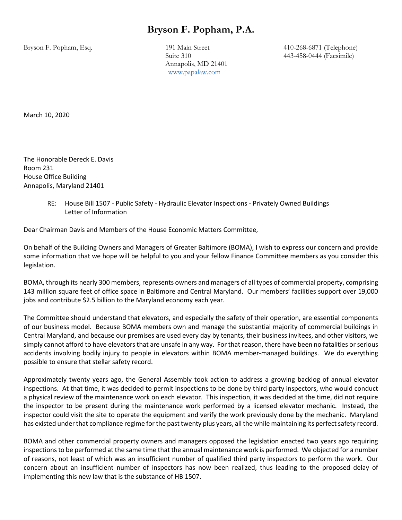## **Bryson F. Popham, P.A.**

Annapolis, MD 21401 [www.papalaw.com](http://www.papalaw.com/)

Bryson F. Popham, Esq. 191 Main Street 410-268-6871 (Telephone) Suite 310 443-458-0444 (Facsimile)

March 10, 2020

The Honorable Dereck E. Davis Room 231 House Office Building Annapolis, Maryland 21401

> RE: House Bill 1507 - Public Safety - Hydraulic Elevator Inspections - Privately Owned Buildings Letter of Information

Dear Chairman Davis and Members of the House Economic Matters Committee,

On behalf of the Building Owners and Managers of Greater Baltimore (BOMA), I wish to express our concern and provide some information that we hope will be helpful to you and your fellow Finance Committee members as you consider this legislation.

BOMA, through its nearly 300 members, represents owners and managers of all types of commercial property, comprising 143 million square feet of office space in Baltimore and Central Maryland. Our members' facilities support over 19,000 jobs and contribute \$2.5 billion to the Maryland economy each year.

The Committee should understand that elevators, and especially the safety of their operation, are essential components of our business model. Because BOMA members own and manage the substantial majority of commercial buildings in Central Maryland, and because our premises are used every day by tenants, their business invitees, and other visitors, we simply cannot afford to have elevators that are unsafe in any way. For that reason, there have been no fatalities or serious accidents involving bodily injury to people in elevators within BOMA member-managed buildings. We do everything possible to ensure that stellar safety record.

Approximately twenty years ago, the General Assembly took action to address a growing backlog of annual elevator inspections. At that time, it was decided to permit inspections to be done by third party inspectors, who would conduct a physical review of the maintenance work on each elevator. This inspection, it was decided at the time, did not require the inspector to be present during the maintenance work performed by a licensed elevator mechanic. Instead, the inspector could visit the site to operate the equipment and verify the work previously done by the mechanic. Maryland has existed under that compliance regime for the past twenty plus years, all the while maintaining its perfect safety record.

BOMA and other commercial property owners and managers opposed the legislation enacted two years ago requiring inspections to be performed at the same time that the annual maintenance work is performed. We objected for a number of reasons, not least of which was an insufficient number of qualified third party inspectors to perform the work. Our concern about an insufficient number of inspectors has now been realized, thus leading to the proposed delay of implementing this new law that is the substance of HB 1507.